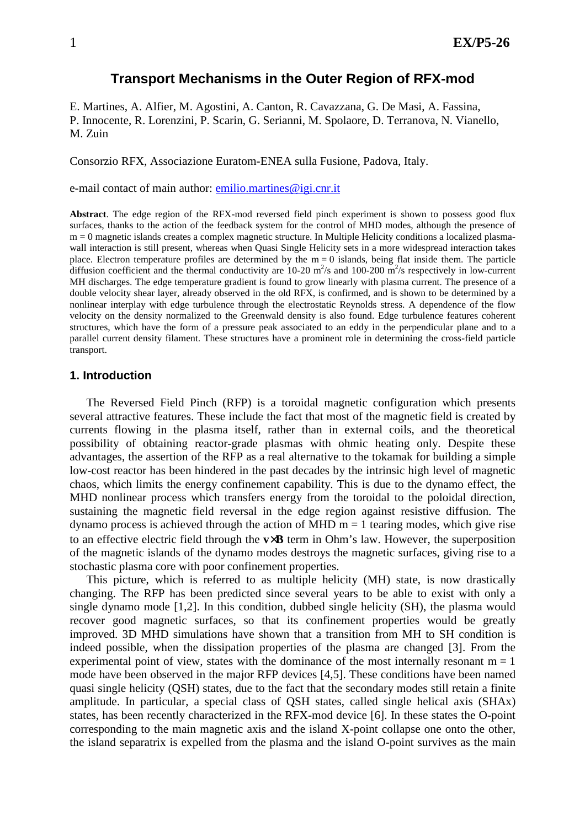# **Transport Mechanisms in the Outer Region of RFX-mod**

E. Martines, A. Alfier, M. Agostini, A. Canton, R. Cavazzana, G. De Masi, A. Fassina, P. Innocente, R. Lorenzini, P. Scarin, G. Serianni, M. Spolaore, D. Terranova, N. Vianello, M. Zuin

Consorzio RFX, Associazione Euratom-ENEA sulla Fusione, Padova, Italy.

e-mail contact of main author: emilio.martines@igi.cnr.it

**Abstract**. The edge region of the RFX-mod reversed field pinch experiment is shown to possess good flux surfaces, thanks to the action of the feedback system for the control of MHD modes, although the presence of  $m = 0$  magnetic islands creates a complex magnetic structure. In Multiple Helicity conditions a localized plasmawall interaction is still present, whereas when Quasi Single Helicity sets in a more widespread interaction takes place. Electron temperature profiles are determined by the  $m = 0$  islands, being flat inside them. The particle diffusion coefficient and the thermal conductivity are 10-20  $\text{m}^2\text{/s}$  and 100-200  $\text{m}^2\text{/s}$  respectively in low-current MH discharges. The edge temperature gradient is found to grow linearly with plasma current. The presence of a double velocity shear layer, already observed in the old RFX, is confirmed, and is shown to be determined by a nonlinear interplay with edge turbulence through the electrostatic Reynolds stress. A dependence of the flow velocity on the density normalized to the Greenwald density is also found. Edge turbulence features coherent structures, which have the form of a pressure peak associated to an eddy in the perpendicular plane and to a parallel current density filament. These structures have a prominent role in determining the cross-field particle transport.

### **1. Introduction**

The Reversed Field Pinch (RFP) is a toroidal magnetic configuration which presents several attractive features. These include the fact that most of the magnetic field is created by currents flowing in the plasma itself, rather than in external coils, and the theoretical possibility of obtaining reactor-grade plasmas with ohmic heating only. Despite these advantages, the assertion of the RFP as a real alternative to the tokamak for building a simple low-cost reactor has been hindered in the past decades by the intrinsic high level of magnetic chaos, which limits the energy confinement capability. This is due to the dynamo effect, the MHD nonlinear process which transfers energy from the toroidal to the poloidal direction, sustaining the magnetic field reversal in the edge region against resistive diffusion. The dynamo process is achieved through the action of MHD  $m = 1$  tearing modes, which give rise to an effective electric field through the **v**×**B** term in Ohm's law. However, the superposition of the magnetic islands of the dynamo modes destroys the magnetic surfaces, giving rise to a stochastic plasma core with poor confinement properties.

This picture, which is referred to as multiple helicity (MH) state, is now drastically changing. The RFP has been predicted since several years to be able to exist with only a single dynamo mode [1,2]. In this condition, dubbed single helicity (SH), the plasma would recover good magnetic surfaces, so that its confinement properties would be greatly improved. 3D MHD simulations have shown that a transition from MH to SH condition is indeed possible, when the dissipation properties of the plasma are changed [3]. From the experimental point of view, states with the dominance of the most internally resonant  $m = 1$ mode have been observed in the major RFP devices [4,5]. These conditions have been named quasi single helicity (QSH) states, due to the fact that the secondary modes still retain a finite amplitude. In particular, a special class of QSH states, called single helical axis (SHAx) states, has been recently characterized in the RFX-mod device [6]. In these states the O-point corresponding to the main magnetic axis and the island X-point collapse one onto the other, the island separatrix is expelled from the plasma and the island O-point survives as the main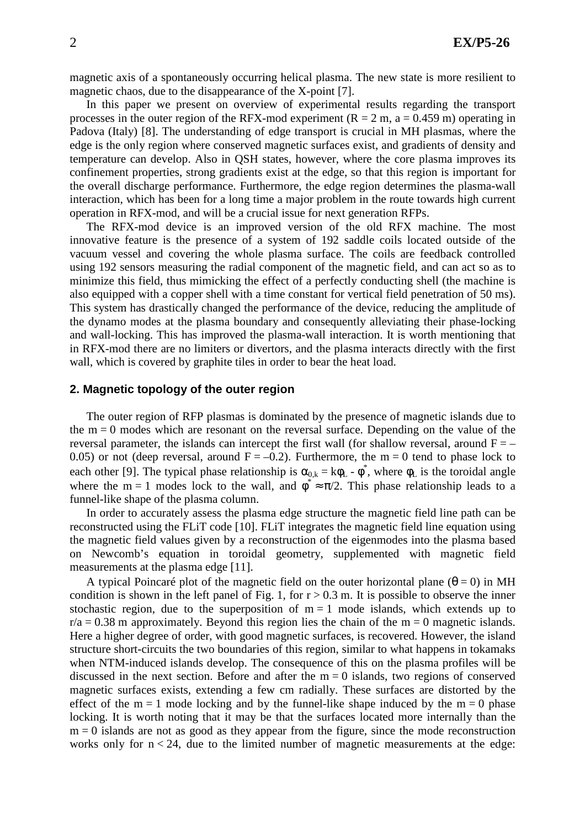magnetic axis of a spontaneously occurring helical plasma. The new state is more resilient to magnetic chaos, due to the disappearance of the X-point [7].

In this paper we present on overview of experimental results regarding the transport processes in the outer region of the RFX-mod experiment ( $R = 2$  m,  $a = 0.459$  m) operating in Padova (Italy) [8]. The understanding of edge transport is crucial in MH plasmas, where the edge is the only region where conserved magnetic surfaces exist, and gradients of density and temperature can develop. Also in QSH states, however, where the core plasma improves its confinement properties, strong gradients exist at the edge, so that this region is important for the overall discharge performance. Furthermore, the edge region determines the plasma-wall interaction, which has been for a long time a major problem in the route towards high current operation in RFX-mod, and will be a crucial issue for next generation RFPs.

The RFX-mod device is an improved version of the old RFX machine. The most innovative feature is the presence of a system of 192 saddle coils located outside of the vacuum vessel and covering the whole plasma surface. The coils are feedback controlled using 192 sensors measuring the radial component of the magnetic field, and can act so as to minimize this field, thus mimicking the effect of a perfectly conducting shell (the machine is also equipped with a copper shell with a time constant for vertical field penetration of 50 ms). This system has drastically changed the performance of the device, reducing the amplitude of the dynamo modes at the plasma boundary and consequently alleviating their phase-locking and wall-locking. This has improved the plasma-wall interaction. It is worth mentioning that in RFX-mod there are no limiters or divertors, and the plasma interacts directly with the first wall, which is covered by graphite tiles in order to bear the heat load.

#### **2. Magnetic topology of the outer region**

The outer region of RFP plasmas is dominated by the presence of magnetic islands due to the  $m = 0$  modes which are resonant on the reversal surface. Depending on the value of the reversal parameter, the islands can intercept the first wall (for shallow reversal, around  $F = -$ 0.05) or not (deep reversal, around  $F = -0.2$ ). Furthermore, the m = 0 tend to phase lock to each other [9]. The typical phase relationship is  $\alpha_{0,k} = k\phi_L - \phi^*$ , where  $\phi_L$  is the toroidal angle where the m = 1 modes lock to the wall, and  $\phi^* \approx \pi/2$ . This phase relationship leads to a funnel-like shape of the plasma column.

In order to accurately assess the plasma edge structure the magnetic field line path can be reconstructed using the FLiT code [10]. FLiT integrates the magnetic field line equation using the magnetic field values given by a reconstruction of the eigenmodes into the plasma based on Newcomb's equation in toroidal geometry, supplemented with magnetic field measurements at the plasma edge [11].

A typical Poincaré plot of the magnetic field on the outer horizontal plane ( $\theta = 0$ ) in MH condition is shown in the left panel of Fig. 1, for  $r > 0.3$  m. It is possible to observe the inner stochastic region, due to the superposition of  $m = 1$  mode islands, which extends up to  $r/a = 0.38$  m approximately. Beyond this region lies the chain of the m = 0 magnetic islands. Here a higher degree of order, with good magnetic surfaces, is recovered. However, the island structure short-circuits the two boundaries of this region, similar to what happens in tokamaks when NTM-induced islands develop. The consequence of this on the plasma profiles will be discussed in the next section. Before and after the  $m = 0$  islands, two regions of conserved magnetic surfaces exists, extending a few cm radially. These surfaces are distorted by the effect of the  $m = 1$  mode locking and by the funnel-like shape induced by the  $m = 0$  phase locking. It is worth noting that it may be that the surfaces located more internally than the  $m = 0$  islands are not as good as they appear from the figure, since the mode reconstruction works only for  $n < 24$ , due to the limited number of magnetic measurements at the edge: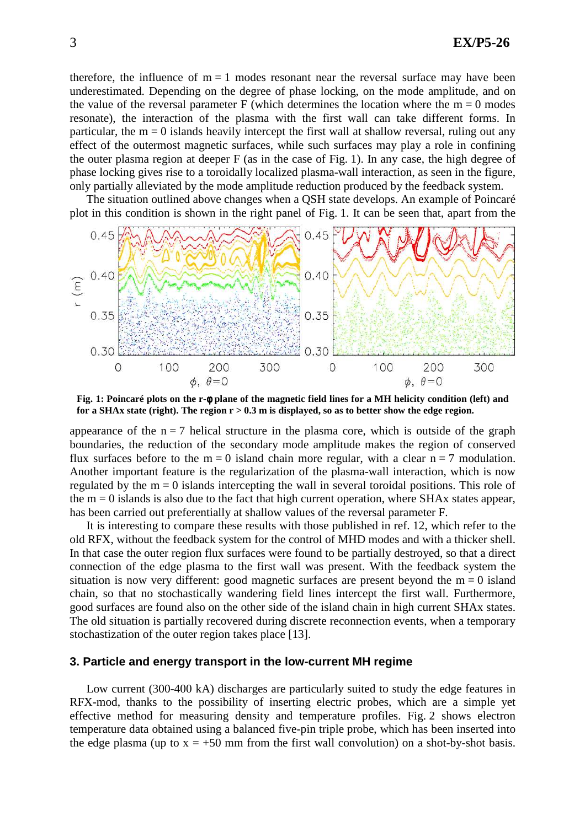therefore, the influence of  $m = 1$  modes resonant near the reversal surface may have been underestimated. Depending on the degree of phase locking, on the mode amplitude, and on the value of the reversal parameter F (which determines the location where the  $m = 0$  modes resonate), the interaction of the plasma with the first wall can take different forms. In particular, the  $m = 0$  islands heavily intercept the first wall at shallow reversal, ruling out any effect of the outermost magnetic surfaces, while such surfaces may play a role in confining the outer plasma region at deeper F (as in the case of Fig. 1). In any case, the high degree of phase locking gives rise to a toroidally localized plasma-wall interaction, as seen in the figure, only partially alleviated by the mode amplitude reduction produced by the feedback system.

The situation outlined above changes when a QSH state develops. An example of Poincaré plot in this condition is shown in the right panel of Fig. 1. It can be seen that, apart from the



Fig. 1: Poincaré plots on the r- $\phi$  plane of the magnetic field lines for a MH helicity condition (left) and for a SHAx state (right). The region  $r > 0.3$  m is displayed, so as to better show the edge region.

appearance of the  $n = 7$  helical structure in the plasma core, which is outside of the graph boundaries, the reduction of the secondary mode amplitude makes the region of conserved flux surfaces before to the  $m = 0$  island chain more regular, with a clear  $n = 7$  modulation. Another important feature is the regularization of the plasma-wall interaction, which is now regulated by the  $m = 0$  islands intercepting the wall in several toroidal positions. This role of the  $m = 0$  islands is also due to the fact that high current operation, where SHAx states appear, has been carried out preferentially at shallow values of the reversal parameter F.

It is interesting to compare these results with those published in ref. 12, which refer to the old RFX, without the feedback system for the control of MHD modes and with a thicker shell. In that case the outer region flux surfaces were found to be partially destroyed, so that a direct connection of the edge plasma to the first wall was present. With the feedback system the situation is now very different: good magnetic surfaces are present beyond the  $m = 0$  island chain, so that no stochastically wandering field lines intercept the first wall. Furthermore, good surfaces are found also on the other side of the island chain in high current SHAx states. The old situation is partially recovered during discrete reconnection events, when a temporary stochastization of the outer region takes place [13].

#### **3. Particle and energy transport in the low-current MH regime**

Low current (300-400 kA) discharges are particularly suited to study the edge features in RFX-mod, thanks to the possibility of inserting electric probes, which are a simple yet effective method for measuring density and temperature profiles. Fig. 2 shows electron temperature data obtained using a balanced five-pin triple probe, which has been inserted into the edge plasma (up to  $x = +50$  mm from the first wall convolution) on a shot-by-shot basis.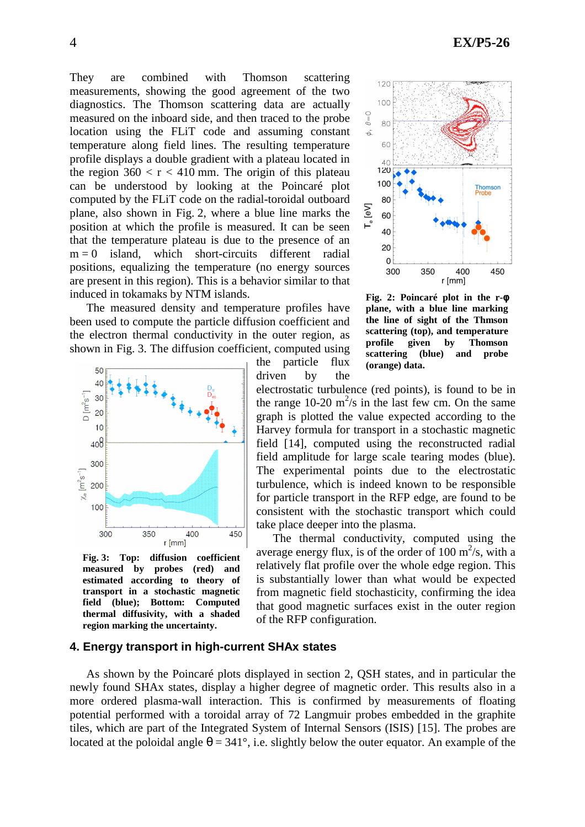They are combined with Thomson scattering measurements, showing the good agreement of the two diagnostics. The Thomson scattering data are actually measured on the inboard side, and then traced to the probe location using the FLiT code and assuming constant temperature along field lines. The resulting temperature profile displays a double gradient with a plateau located in the region  $360 < r < 410$  mm. The origin of this plateau can be understood by looking at the Poincaré plot computed by the FLiT code on the radial-toroidal outboard plane, also shown in Fig. 2, where a blue line marks the position at which the profile is measured. It can be seen that the temperature plateau is due to the presence of an  $m = 0$  island, which short-circuits different radial positions, equalizing the temperature (no energy sources are present in this region). This is a behavior similar to that induced in tokamaks by NTM islands.

The measured density and temperature profiles have been used to compute the particle diffusion coefficient and the electron thermal conductivity in the outer region, as shown in Fig. 3. The diffusion coefficient, computed using



**Fig. 3: Top: diffusion coefficient measured by probes (red) and estimated according to theory of transport in a stochastic magnetic field (blue); Bottom: Computed thermal diffusivity, with a shaded region marking the uncertainty.**



**Fig. 2: Poincaré plot in the r-**φ **plane, with a blue line marking the line of sight of the Thmson scattering (top), and temperature profile given by Thomson scattering (blue) and probe (orange) data.**

the particle flux driven by the

electrostatic turbulence (red points), is found to be in the range  $10{\text -}20$  m<sup>2</sup>/s in the last few cm. On the same graph is plotted the value expected according to the Harvey formula for transport in a stochastic magnetic field [14], computed using the reconstructed radial field amplitude for large scale tearing modes (blue). The experimental points due to the electrostatic turbulence, which is indeed known to be responsible for particle transport in the RFP edge, are found to be consistent with the stochastic transport which could take place deeper into the plasma.

The thermal conductivity, computed using the average energy flux, is of the order of 100  $\text{m}^2\text{/s}$ , with a relatively flat profile over the whole edge region. This is substantially lower than what would be expected from magnetic field stochasticity, confirming the idea that good magnetic surfaces exist in the outer region of the RFP configuration.

#### **4. Energy transport in high-current SHAx states**

As shown by the Poincaré plots displayed in section 2, QSH states, and in particular the newly found SHAx states, display a higher degree of magnetic order. This results also in a more ordered plasma-wall interaction. This is confirmed by measurements of floating potential performed with a toroidal array of 72 Langmuir probes embedded in the graphite tiles, which are part of the Integrated System of Internal Sensors (ISIS) [15]. The probes are located at the poloidal angle  $\theta = 341^\circ$ , i.e. slightly below the outer equator. An example of the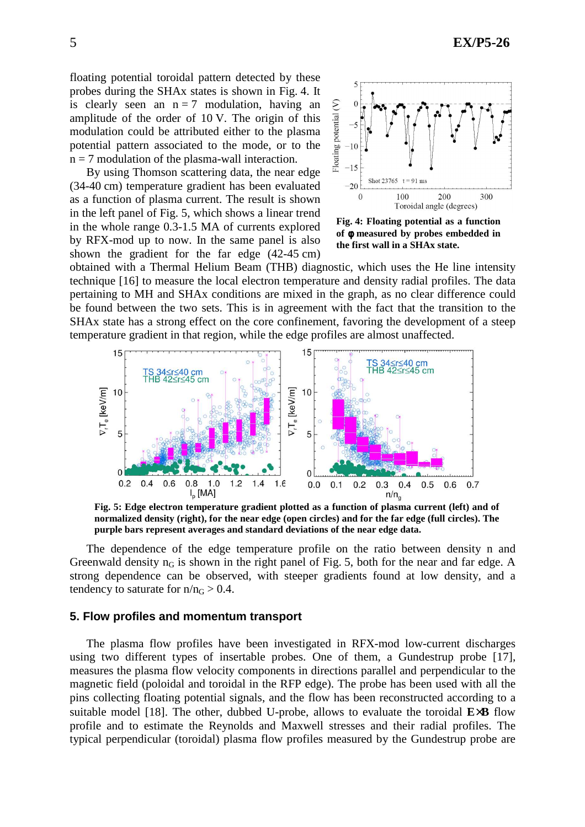floating potential toroidal pattern detected by these probes during the SHAx states is shown in Fig. 4. It is clearly seen an  $n = 7$  modulation, having an amplitude of the order of 10 V. The origin of this modulation could be attributed either to the plasma potential pattern associated to the mode, or to the  $n = 7$  modulation of the plasma-wall interaction.

By using Thomson scattering data, the near edge (34-40 cm) temperature gradient has been evaluated as a function of plasma current. The result is shown in the left panel of Fig. 5, which shows a linear trend in the whole range 0.3-1.5 MA of currents explored by RFX-mod up to now. In the same panel is also shown the gradient for the far edge (42-45 cm)



**Fig. 4: Floating potential as a function of** φ **measured by probes embedded in the first wall in a SHAx state.**

obtained with a Thermal Helium Beam (THB) diagnostic, which uses the He line intensity technique [16] to measure the local electron temperature and density radial profiles. The data pertaining to MH and SHAx conditions are mixed in the graph, as no clear difference could be found between the two sets. This is in agreement with the fact that the transition to the SHAx state has a strong effect on the core confinement, favoring the development of a steep temperature gradient in that region, while the edge profiles are almost unaffected.



**Fig. 5: Edge electron temperature gradient plotted as a function of plasma current (left) and of normalized density (right), for the near edge (open circles) and for the far edge (full circles). The purple bars represent averages and standard deviations of the near edge data.**

The dependence of the edge temperature profile on the ratio between density n and Greenwald density  $n_G$  is shown in the right panel of Fig. 5, both for the near and far edge. A strong dependence can be observed, with steeper gradients found at low density, and a tendency to saturate for  $n/n<sub>G</sub> > 0.4$ .

### **5. Flow profiles and momentum transport**

The plasma flow profiles have been investigated in RFX-mod low-current discharges using two different types of insertable probes. One of them, a Gundestrup probe [17], measures the plasma flow velocity components in directions parallel and perpendicular to the magnetic field (poloidal and toroidal in the RFP edge). The probe has been used with all the pins collecting floating potential signals, and the flow has been reconstructed according to a suitable model [18]. The other, dubbed U-probe, allows to evaluate the toroidal **E**×**B** flow profile and to estimate the Reynolds and Maxwell stresses and their radial profiles. The typical perpendicular (toroidal) plasma flow profiles measured by the Gundestrup probe are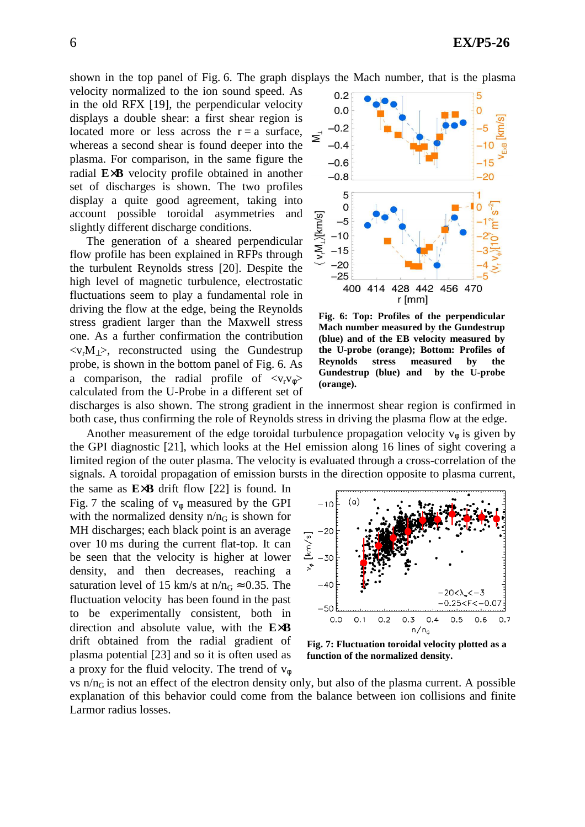shown in the top panel of Fig. 6. The graph displays the Mach number, that is the plasma

velocity normalized to the ion sound speed. As in the old RFX [19], the perpendicular velocity displays a double shear: a first shear region is located more or less across the  $r = a$  surface, whereas a second shear is found deeper into the plasma. For comparison, in the same figure the radial **E**×**B** velocity profile obtained in another set of discharges is shown. The two profiles display a quite good agreement, taking into account possible toroidal asymmetries and slightly different discharge conditions.

The generation of a sheared perpendicular flow profile has been explained in RFPs through the turbulent Reynolds stress [20]. Despite the high level of magnetic turbulence, electrostatic fluctuations seem to play a fundamental role in driving the flow at the edge, being the Reynolds stress gradient larger than the Maxwell stress one. As a further confirmation the contribution  $\langle v_r M_{\perp} \rangle$ , reconstructed using the Gundestrup probe, is shown in the bottom panel of Fig. 6. As a comparison, the radial profile of  $\langle v_r v_{\phi} \rangle$ calculated from the U-Probe in a different set of



**Fig. 6: Top: Profiles of the perpendicular Mach number measured by the Gundestrup (blue) and of the EB velocity measured by the U-probe (orange); Bottom: Profiles of Reynolds stress measured by the Gundestrup (blue) and by the U-probe (orange).**

discharges is also shown. The strong gradient in the innermost shear region is confirmed in both case, thus confirming the role of Reynolds stress in driving the plasma flow at the edge.

Another measurement of the edge toroidal turbulence propagation velocity  $v_{\phi}$  is given by the GPI diagnostic [21], which looks at the HeI emission along 16 lines of sight covering a limited region of the outer plasma. The velocity is evaluated through a cross-correlation of the signals. A toroidal propagation of emission bursts in the direction opposite to plasma current,

the same as **E**×**B** drift flow [22] is found. In Fig. 7 the scaling of  $v_{\phi}$  measured by the GPI with the normalized density  $n/n<sub>G</sub>$  is shown for MH discharges; each black point is an average over 10 ms during the current flat-top. It can be seen that the velocity is higher at lower density, and then decreases, reaching a saturation level of 15 km/s at  $n/n<sub>G</sub> \approx 0.35$ . The fluctuation velocity has been found in the past to be experimentally consistent, both in direction and absolute value, with the **E**×**B** drift obtained from the radial gradient of plasma potential [23] and so it is often used as a proxy for the fluid velocity. The trend of  $v_{\phi}$ 



**Fig. 7: Fluctuation toroidal velocity plotted as a function of the normalized density.**

vs  $n/n<sub>G</sub>$  is not an effect of the electron density only, but also of the plasma current. A possible explanation of this behavior could come from the balance between ion collisions and finite Larmor radius losses.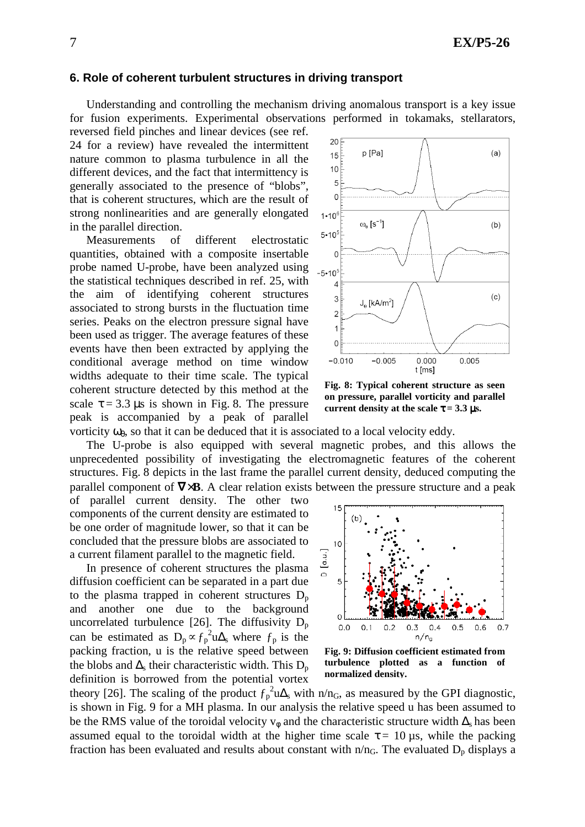## **6. Role of coherent turbulent structures in driving transport**

Understanding and controlling the mechanism driving anomalous transport is a key issue for fusion experiments. Experimental observations performed in tokamaks, stellarators,

reversed field pinches and linear devices (see ref. 24 for a review) have revealed the intermittent nature common to plasma turbulence in all the different devices, and the fact that intermittency is generally associated to the presence of "blobs", that is coherent structures, which are the result of strong nonlinearities and are generally elongated in the parallel direction.

Measurements of different electrostatic quantities, obtained with a composite insertable probe named U-probe, have been analyzed using the statistical techniques described in ref. 25, with the aim of identifying coherent structures associated to strong bursts in the fluctuation time series. Peaks on the electron pressure signal have been used as trigger. The average features of these events have then been extracted by applying the conditional average method on time window widths adequate to their time scale. The typical coherent structure detected by this method at the scale  $\tau = 3.3 \,\mu s$  is shown in Fig. 8. The pressure peak is accompanied by a peak of parallel vorticity  $\omega_{\theta}$ , so that it can be deduced that it is associated to a local velocity eddy.

The U-probe is also equipped with several magnetic probes, and this allows the unprecedented possibility of investigating the electromagnetic features of the coherent structures. Fig. 8 depicts in the last frame the parallel current density, deduced computing the parallel component of ∇×**B**. A clear relation exists between the pressure structure and a peak

of parallel current density. The other two components of the current density are estimated to be one order of magnitude lower, so that it can be concluded that the pressure blobs are associated to a current filament parallel to the magnetic field.

In presence of coherent structures the plasma diffusion coefficient can be separated in a part due to the plasma trapped in coherent structures  $D_p$ and another one due to the background uncorrelated turbulence [26]. The diffusivity  $D_p$ can be estimated as  $D_p \propto f_p^2 u \Delta_s$  where  $f_p$  is the packing fraction, u is the relative speed between the blobs and  $\Delta_s$  their characteristic width. This  $D_p$ definition is borrowed from the potential vortex



**Fig. 8: Typical coherent structure as seen on pressure, parallel vorticity and parallel current density** at the scale  $\tau = 3.3$   $\mu$ s.

 $1<sup>5</sup>$  $10$  $[a.u.]$  $\circ$  $\overline{5}$  $\Omega$  $0.1$  $0.5$  $0.6$  $0.7$  $0.0$  $0.2$  $\Omega$ 3  $0.4$  $^{\prime}$ n $_{\rm G}$ 

**Fig. 9: Diffusion coefficient estimated from turbulence plotted as a function of normalized density.**

theory [26]. The scaling of the product  $f_p^2 u \Delta_s$  with n/n<sub>G</sub>, as measured by the GPI diagnostic, is shown in Fig. 9 for a MH plasma. In our analysis the relative speed u has been assumed to be the RMS value of the toroidal velocity v<sub> $φ$ </sub> and the characteristic structure width  $\Delta_s$  has been assumed equal to the toroidal width at the higher time scale  $\tau = 10 \,\mu s$ , while the packing fraction has been evaluated and results about constant with  $n/n<sub>G</sub>$ . The evaluated  $D<sub>p</sub>$  displays a